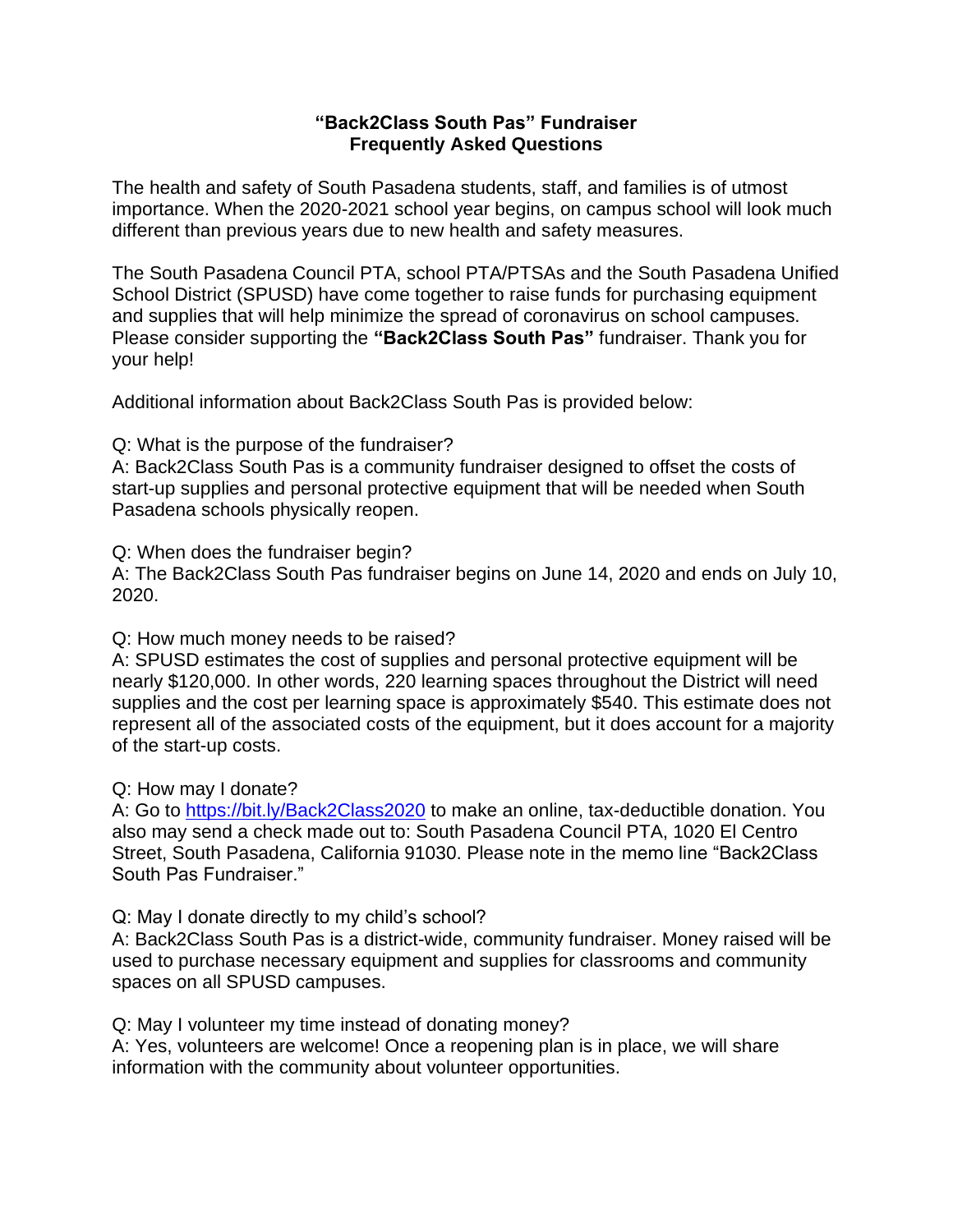## **"Back2Class South Pas" Fundraiser Frequently Asked Questions**

The health and safety of South Pasadena students, staff, and families is of utmost importance. When the 2020-2021 school year begins, on campus school will look much different than previous years due to new health and safety measures.

The South Pasadena Council PTA, school PTA/PTSAs and the South Pasadena Unified School District (SPUSD) have come together to raise funds for purchasing equipment and supplies that will help minimize the spread of coronavirus on school campuses. Please consider supporting the **"Back2Class South Pas"** fundraiser. Thank you for your help!

Additional information about Back2Class South Pas is provided below:

Q: What is the purpose of the fundraiser?

A: Back2Class South Pas is a community fundraiser designed to offset the costs of start-up supplies and personal protective equipment that will be needed when South Pasadena schools physically reopen.

Q: When does the fundraiser begin?

A: The Back2Class South Pas fundraiser begins on June 14, 2020 and ends on July 10, 2020.

Q: How much money needs to be raised?

A: SPUSD estimates the cost of supplies and personal protective equipment will be nearly \$120,000. In other words, 220 learning spaces throughout the District will need supplies and the cost per learning space is approximately \$540. This estimate does not represent all of the associated costs of the equipment, but it does account for a majority of the start-up costs.

Q: How may I donate?

A: Go to<https://bit.ly/Back2Class2020> to make an online, tax-deductible donation. You also may send a check made out to: South Pasadena Council PTA, 1020 El Centro Street, South Pasadena, California 91030. Please note in the memo line "Back2Class South Pas Fundraiser."

Q: May I donate directly to my child's school?

A: Back2Class South Pas is a district-wide, community fundraiser. Money raised will be used to purchase necessary equipment and supplies for classrooms and community spaces on all SPUSD campuses.

Q: May I volunteer my time instead of donating money?

A: Yes, volunteers are welcome! Once a reopening plan is in place, we will share information with the community about volunteer opportunities.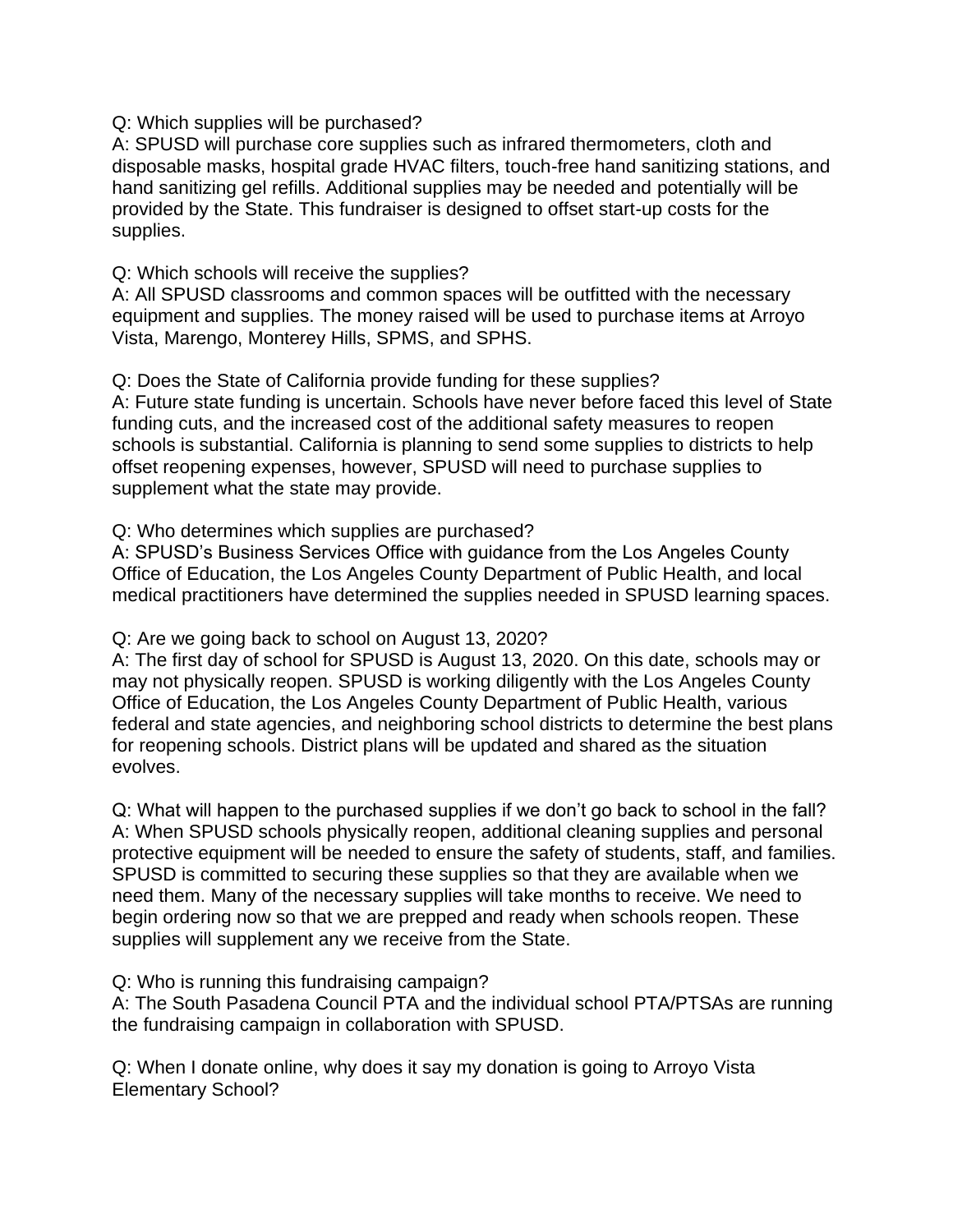Q: Which supplies will be purchased?

A: SPUSD will purchase core supplies such as infrared thermometers, cloth and disposable masks, hospital grade HVAC filters, touch-free hand sanitizing stations, and hand sanitizing gel refills. Additional supplies may be needed and potentially will be provided by the State. This fundraiser is designed to offset start-up costs for the supplies.

## Q: Which schools will receive the supplies?

A: All SPUSD classrooms and common spaces will be outfitted with the necessary equipment and supplies. The money raised will be used to purchase items at Arroyo Vista, Marengo, Monterey Hills, SPMS, and SPHS.

Q: Does the State of California provide funding for these supplies?

A: Future state funding is uncertain. Schools have never before faced this level of State funding cuts, and the increased cost of the additional safety measures to reopen schools is substantial. California is planning to send some supplies to districts to help offset reopening expenses, however, SPUSD will need to purchase supplies to supplement what the state may provide.

Q: Who determines which supplies are purchased?

A: SPUSD's Business Services Office with guidance from the Los Angeles County Office of Education, the Los Angeles County Department of Public Health, and local medical practitioners have determined the supplies needed in SPUSD learning spaces.

## Q: Are we going back to school on August 13, 2020?

A: The first day of school for SPUSD is August 13, 2020. On this date, schools may or may not physically reopen. SPUSD is working diligently with the Los Angeles County Office of Education, the Los Angeles County Department of Public Health, various federal and state agencies, and neighboring school districts to determine the best plans for reopening schools. District plans will be updated and shared as the situation evolves.

Q: What will happen to the purchased supplies if we don't go back to school in the fall? A: When SPUSD schools physically reopen, additional cleaning supplies and personal protective equipment will be needed to ensure the safety of students, staff, and families. SPUSD is committed to securing these supplies so that they are available when we need them. Many of the necessary supplies will take months to receive. We need to begin ordering now so that we are prepped and ready when schools reopen. These supplies will supplement any we receive from the State.

Q: Who is running this fundraising campaign?

A: The South Pasadena Council PTA and the individual school PTA/PTSAs are running the fundraising campaign in collaboration with SPUSD.

Q: When I donate online, why does it say my donation is going to Arroyo Vista Elementary School?